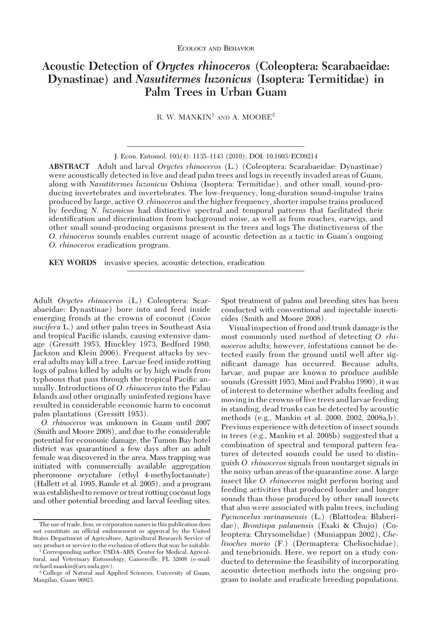# **Acoustic Detection of** *Oryctes rhinoceros* **(Coleoptera: Scarabaeidae: Dynastinae) and** *Nasutitermes luzonicus* **(Isoptera: Termitidae) in Palm Trees in Urban Guam**

R. W. MANKIN<sup>1</sup> AND A. MOORE<sup>2</sup>

**ABSTRACT** Adult and larval *Oryctes rhinoceros* (L.) (Coleoptera: Scarabaeidae: Dynastinae) were acoustically detected in live and dead palm trees and logs in recently invaded areas of Guam, along with *Nasutitermes luzonicus* Oshima (Isoptera: Termitidae), and other small, sound-producing invertebrates and invertebrates. The low-frequency, long-duration sound-impulse trains produced by large, active *O*. *rhinoceros* and the higher frequency, shorter impulse trains produced by feeding *N*. *luzonicus* had distinctive spectral and temporal patterns that facilitated their identification and discrimination from background noise, as well as from roaches, earwigs, and other small sound-producing organisms present in the trees and logs The distinctiveness of the *O. rhinoceros* sounds enables current usage of acoustic detection as a tactic in Guam's ongoing *O*. *rhinoceros* eradication program.

**KEY WORDS** invasive species, acoustic detection, eradication

Adult *Oryctes rhinoceros* (L.) Coleoptera: Scarabaeidae: Dynastinae) bore into and feed inside emerging fronds at the crowns of coconut (*Cocos nucifera* L.) and other palm trees in Southeast Asia and tropical Pacific islands, causing extensive damage (Gressitt 1953, Hinckley 1973, Bedford 1980, Jackson and Klein 2006). Frequent attacks by several adults may kill a tree. Larvae feed inside rotting logs of palms killed by adults or by high winds from typhoons that pass through the tropical Pacific annually. Introductions of *O. rhinoceros* into the Palau Islands and other originally uninfested regions have resulted in considerable economic harm to coconut palm plantations (Gressitt 1953).

*O. rhinoceros* was unknown in Guam until 2007 (Smith and Moore 2008), and due to the considerable potential for economic damage, the Tumon Bay hotel district was quarantined a few days after an adult female was discovered in the area. Mass trapping was initiated with commercially available aggregation pheromone oryctalure (ethyl 4-methyloctanoate) (Hallett et al. 1995, Ramle et al. 2005), and a program was established to remove or treat rotting coconut logs and other potential breeding and larval feeding sites.

Spot treatment of palms and breeding sites has been conducted with conventional and injectable insecticides (Smith and Moore 2008).

Visual inspection of frond and trunk damage is the most commonly used method of detecting *O. rhinoceros* adults; however, infestations cannot be detected easily from the ground until well after significant damage has occurred. Because adults, larvae, and pupae are known to produce audible sounds (Gressitt 1953, Mini and Prabhu 1990), it was of interest to determine whether adults feeding and moving in the crowns of live trees and larvae feeding in standing, dead trunks can be detected by acoustic methods (e.g., Mankin et al. 2000, 2002, 2008a,b). Previous experience with detection of insect sounds in trees (e.g., Mankin et al. 2008b) suggested that a combination of spectral and temporal pattern features of detected sounds could be used to distinguish *O. rhinoceros* signals from nontarget signals in the noisy urban areas of the quarantine zone. A large insect like *O. rhinoceros* might perform boring and feeding activities that produced louder and longer sounds than those produced by other small insects that also were associated with palm trees, including *Pycnoscelus surinamensis* (L.) (Blattodea: Blaberidae), *Brontispa palauensis* (Esaki & Chujo) (Coleoptera: Chrysomelidae) (Muniappan 2002), *Chelisoches morio* (F.) (Dermaptera: Chelisochidae), and tenebrionids. Here, we report on a study conducted to determine the feasibility of incorporating acoustic detection methods into the ongoing program to isolate and eradicate breeding populations.

J. Econ. Entomol. 103(4): 1135-1143 (2010); DOI: 10.1603/EC09214

The use of trade, firm, or corporation names in this publication does not constitute an official endorsement or approval by the United States Department of Agriculture, Agricultural Research Service of any product or service to the exclusion of others that may be suitable.

<sup>&</sup>lt;sup>1</sup> Corresponding author: USDA-ARS, Center for Medical, Agricultural, and Veterinary Entomology, Gainesville, FL 32608 (e-mail: richard.mankin@ars.usda.gov).

<sup>2</sup> College of Natural and Applied Sciences, University of Guam, Mangilao, Guam 96923.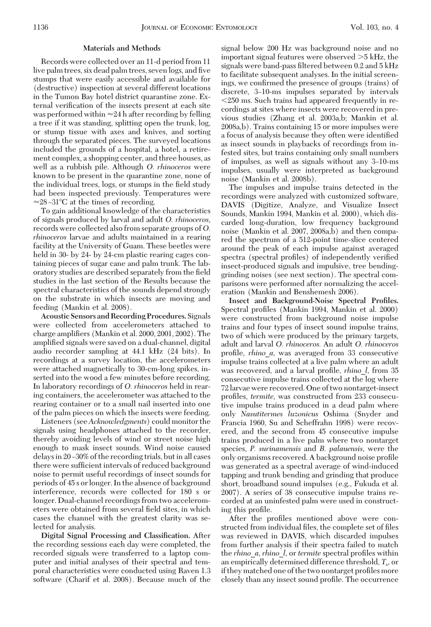### **Materials and Methods**

Records were collected over an 11-d period from 11 live palm trees, six dead palm trees, seven logs, and five stumps that were easily accessible and available for (destructive) inspection at several different locations in the Tumon Bay hotel district quarantine zone. External verification of the insects present at each site was performed within  $\approx 24$  h after recording by felling a tree if it was standing, splitting open the trunk, log, or stump tissue with axes and knives, and sorting through the separated pieces. The surveyed locations included the grounds of a hospital, a hotel, a retirement complex, a shopping center, and three houses, as well as a rubbish pile. Although *O. rhinoceros* were known to be present in the quarantine zone, none of the individual trees, logs, or stumps in the field study had been inspected previously. Temperatures were  $\approx$ 28-31°C at the times of recording.

To gain additional knowledge of the characteristics of signals produced by larval and adult *O. rhinoceros,* records were collected also from separate groups of *O. rhinoceros* larvae and adults maintained in a rearing facility at the University of Guam. These beetles were held in 30- by 24- by 24-cm plastic rearing cages containing pieces of sugar cane and palm trunk. The laboratory studies are described separately from the field studies in the last section of the Results because the spectral characteristics of the sounds depend strongly on the substrate in which insects are moving and feeding (Mankin et al. 2008).

**Acoustic Sensors and Recording Procedures.** Signals were collected from accelerometers attached to charge amplifiers (Mankin et al.  $2000, 2001, 2002$ ). The amplified signals were saved on a dual-channel, digital audio recorder sampling at 44.1 kHz (24 bits). In recordings at a survey location, the accelerometers were attached magnetically to 30-cm-long spikes, inserted into the wood a few minutes before recording. In laboratory recordings of *O. rhinoceros* held in rearing containers, the accelerometer was attached to the rearing container or to a small nail inserted into one of the palm pieces on which the insects were feeding.

Listeners (see*Acknowledgments*) could monitor the signals using headphones attached to the recorder, thereby avoiding levels of wind or street noise high enough to mask insect sounds. Wind noise caused delays in 20–30% of the recording trials, but in all cases there were sufficient intervals of reduced background noise to permit useful recordings of insect sounds for periods of 45 s or longer. In the absence of background interference, records were collected for 180 s or longer. Dual-channel recordings from two accelerometers were obtained from several field sites, in which cases the channel with the greatest clarity was selected for analysis.

**Digital Signal Processing and Classification.** After the recording sessions each day were completed, the recorded signals were transferred to a laptop computer and initial analyses of their spectral and temporal characteristics were conducted using Raven 1.3 software (Charif et al. 2008). Because much of the signal below 200 Hz was background noise and no important signal features were observed  $>5$  kHz, the signals were band-pass filtered between 0.2 and 5 kHz to facilitate subsequent analyses. In the initial screenings, we confirmed the presence of groups (trains) of discrete, 3–10-ms impulses separated by intervals 250 ms. Such trains had appeared frequently in recordings at sites where insects were recovered in previous studies (Zhang et al. 2003a,b; Mankin et al. 2008a,b). Trains containing 15 or more impulses were a focus of analysis because they often were identified as insect sounds in playbacks of recordings from infested sites, but trains containing only small numbers of impulses, as well as signals without any 3-10-ms impulses, usually were interpreted as background noise (Mankin et al. 2008b).

The impulses and impulse trains detected in the recordings were analyzed with customized software, DAVIS (Digitize, Analyze, and Visualize Insect Sounds, Mankin 1994, Mankin et al. 2000), which discarded long-duration, low frequency background noise (Mankin et al. 2007, 2008a,b) and then compared the spectrum of a 512-point time-slice centered around the peak of each impulse against averaged spectra (spectral profiles) of independently verified insect-produced signals and impulsive, tree bendinggrinding noises (see next section). The spectral comparisons were performed after normalizing the acceleration (Mankin and Benshemesh 2006).

**Insect and Background-Noise Spectral Profiles.** Spectral profiles (Mankin 1994, Mankin et al. 2000) were constructed from background noise impulse trains and four types of insect sound impulse trains, two of which were produced by the primary targets, adult and larval *O. rhinoceros.* An adult *O. rhinoceros* profile, *rhino a*, was averaged from 33 consecutive impulse trains collected at a live palm where an adult was recovered, and a larval profile, *rhino l*, from 35 consecutive impulse trains collected at the log where 72 larvae were recovered. One of two nontarget-insect profiles, *termite*, was constructed from 233 consecutive impulse trains produced in a dead palm where only *Nasutitermes luzonicus* Oshima (Snyder and Francia 1960, Su and Scheffrahn 1998) were recovered, and the second from 45 consecutive impulse trains produced in a live palm where two nontarget species, *P. surinamensis* and *B. palauensis,* were the only organisms recovered. A background noise profile was generated as a spectral average of wind-induced tapping and trunk bending and grinding that produce short, broadband sound impulses (e.g., Fukuda et al. 2007). A series of 38 consecutive impulse trains recorded at an uninfested palm were used in constructing this profile.

After the profiles mentioned above were constructed from individual files, the complete set of files was reviewed in DAVIS, which discarded impulses from further analysis if their spectra failed to match the *rhino*\_*a, rhino*\_*l,* or *termite* spectral proÞles within an empirically determined difference threshold, *Ts ,* or if they matched one of the two nontarget profiles more closely than any insect sound profile. The occurrence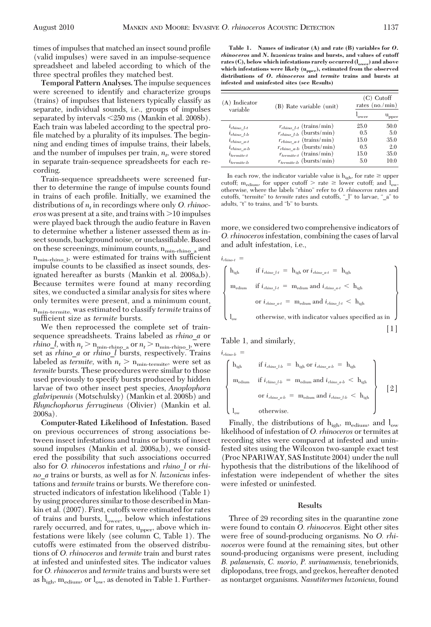times of impulses that matched an insect sound profile (valid impulses) were saved in an impulse-sequence spreadsheet and labeled according to which of the three spectral profiles they matched best.

**Temporal Pattern Analyses.** The impulse sequences were screened to identify and characterize groups (trains) of impulses that listeners typically classify as separate, individual sounds, i.e., groups of impulses separated by intervals 250 ms (Mankin et al. 2008b). Each train was labeled according to the spectral profile matched by a plurality of its impulses. The beginning and ending times of impulse trains, their labels, and the number of impulses per train,  $n_t$ , were stored in separate train-sequence spreadsheets for each recording.

Train-sequence spreadsheets were screened further to determine the range of impulse counts found in trains of each profile. Initially, we examined the distributions of *nt* in recordings where only *O. rhinoceros* was present at a site, and trains with  $>$ 10 impulses were played back through the audio feature in Raven to determine whether a listener assessed them as insect sounds, background noise, or unclassifiable. Based on these screenings, minimum counts,  $n_{\min\text{-}r\text{-}h\text{-}no\_a}$  and n<sub>min-rhino</sub><sub>l</sub>, were estimated for trains with sufficient impulse counts to be classified as insect sounds, designated hereafter as bursts (Mankin et al. 2008a,b). Because termites were found at many recording sites, we conducted a similar analysis for sites where only termites were present, and a minimum count,  $n_{\text{min-termite}}$ , was estimated to classify *termite* trains of sufficient size as *termite* bursts.

We then reprocessed the complete set of trainsequence spreadsheets. Trains labeled as *rhino*\_*a* or  $r hino\_l$ , with  $n_t > n_{\text{min-rhino a}}$  or  $n_t > n_{\text{min-rhino b}}$ , were set as *rhino*\_*a* or *rhino*\_*l* bursts, respectively. Trains labeled as *termite*, with  $n_t > n_{min-termin}$ , were set as *termite* bursts. These procedures were similar to those used previously to specify bursts produced by hidden larvae of two other insect pest species, *Anoplophora glabripennis* (Motschulsky) (Mankin et al. 2008b) and *Rhynchophorus ferrugineus* (Olivier) (Mankin et al. 2008a).

**Computer-Rated Likelihood of Infestation.** Based on previous occurrences of strong associations between insect infestations and trains or bursts of insect sound impulses (Mankin et al. 2008a,b), we considered the possibility that such associations occurred also for *O. rhinoceros* infestations and *rhino*\_*l* or *rhino*\_*a* trains or bursts, as well as for *N. luzonicus* infestations and *termite* trains or bursts. We therefore constructed indicators of infestation likelihood (Table 1) by using procedures similar to those described inMankin et al. (2007). First, cutoffs were estimated for rates of trains and bursts,  $l_{\text{ower}}$ , below which infestations rarely occurred, and for rates,  $u_{\text{pper}}$ , above which infestations were likely (see column C, Table 1). The cutoffs were estimated from the observed distributions of *O. rhinoceros* and *termite* train and burst rates at infested and uninfested sites. The indicator values for *O. rhinoceros* and *termite* trains and bursts were set as  $h_{\text{ich}}$ ,  $m_{\text{edium}}$ , or  $l_{\text{ow}}$ , as denoted in Table 1. Further-

**Table 1. Names of indicator (A) and rate (B) variables for** *O. rhinoceros* **and** *N. luzonicus* **trains and bursts, and values of cutoff** rates (C), below which infestations rarely occurred ( $l_{over}$ ) and above **which infestations were likely (upper), estimated from the observed distributions of** *O. rhinoceros* **and** *termite* **trains and bursts at infested and uninfested sites (see Results)**

| $(A)$ Indicator<br>variable | (B) Rate variable (unit)                | $(C)$ Cutoff<br>rates (no./min) |                 |
|-----------------------------|-----------------------------------------|---------------------------------|-----------------|
|                             |                                         | 'ower                           | $u_{\rm{pper}}$ |
| $l_{rhino}$ l-t             | $r_{r{hino l-t}}$ (trains/min)          | 25.0                            | 50.0            |
| $i_{rhino}$ l-b             | $r_{r hino\_l\textrm{-}b}$ (bursts/min) | 0.5                             | 5.0             |
| $i_{rhino}$ a-t             | $r_{r hino\_a\text{-}t}$ (trains/min)   | 15.0                            | 35.0            |
| $i_{rhino \ a-b}$           | $r_{r hino\_a-b}$ (bursts/min)          | 0.5                             | 2.0             |
| $i_{termite-t}$             | $r_{ternite\text{-}t}$ (trains/min)     | 15.0                            | 35.0            |
| $i_{termite-b}$             | $r_{ternite-b}$ (bursts/min)            | 5.0                             | 10.0            |

In each row, the indicator variable value is  $h_{igh}$ , for rate  $\geq$  upper cutoff; m<sub>edium</sub>, for upper cutoff  $>$  rate  $\geq$  lower cutoff; and l<sub>ow</sub> otherwise, where the labels "rhino" refer to *O. rhinoceros* rates and cutoffs, "termite" to *termite* rates and cutoffs, "\_l" to larvae, "\_a" to adults, "t" to trains, and "b" to bursts.

more, we considered two comprehensive indicators of *O. rhinoceros*infestation, combining the cases of larval and adult infestation, i.e.,

$$
i_{\text{rhino-t}} = \left\{ \begin{array}{ll} h_{\text{igh}} & \text{if } i_{\text{rhino\_l-t}} = h_{\text{igh}} \text{ or } i_{\text{rhino\_a-t}} = h_{\text{igh}} \\ \text{m}_{\text{edium}} & \text{if } i_{\text{rhino\_l-t}} = \text{m}_{\text{edium}} \text{ and } i_{\text{rhino\_a-t}} < h_{\text{igh}} \\ & \text{or } i_{\text{rhino\_a-t}} = \text{m}_{\text{edium}} \text{ and } i_{\text{rhino\_l-t}} < h_{\text{igh}} \\ & \text{otherwise, with indicator values specified as in} \hspace{2em} \left. \begin{array}{ll} \text{[1]} \end{array} \right. \end{array} \right\}
$$

Table 1, and similarly,

$$
i_{\text{rhino-b}} =
$$
\n
$$
\begin{cases}\n\mathbf{h}_{\text{igh}} & \text{if } i_{\text{rhino\_Lb}} = \mathbf{h}_{\text{igh}} \text{ or } i_{\text{rhino\_a-b}} = \mathbf{h}_{\text{igh}} \\
\mathbf{m}_{\text{edium}} & \text{if } i_{\text{rhino\_Lb}} = \mathbf{m}_{\text{edium}} \text{ and } i_{\text{rhino\_a-b}} < \mathbf{h}_{\text{igh}} \\
\mathbf{m}_{\text{edium}} & \text{or } i_{\text{rhino\_a-b}} = \mathbf{m}_{\text{edium}} \text{ and } i_{\text{rhino\_Lb}} < \mathbf{h}_{\text{igh}} \\
\mathbf{l}_{\text{ow}} & \text{otherwise.} \n\end{cases}\n\begin{bmatrix}\n2 \\
\end{bmatrix}
$$

Finally, the distributions of  $h_{\text{ich}}$ ,  $m_{\text{edium}}$ , and  $l_{\text{ow}}$ likelihood of infestation of *O. rhinoceros* or termites at recording sites were compared at infested and uninfested sites using the Wilcoxon two-sample exact test (Proc NPAR1WAY, SAS Institute 2004) under the null hypothesis that the distributions of the likelihood of infestation were independent of whether the sites were infested or uninfested.

#### **Results**

Three of 29 recording sites in the quarantine zone were found to contain *O. rhinoceros.* Eight other sites were free of sound-producing organisms. No *O. rhinoceros* were found at the remaining sites, but other sound-producing organisms were present, including *B. palauensis, C. morio, P. surinamensis,* tenebrionids, diplopodans, tree frogs, and geckos, hereafter denoted as nontarget organisms. *Nasutitermes luzonicus,* found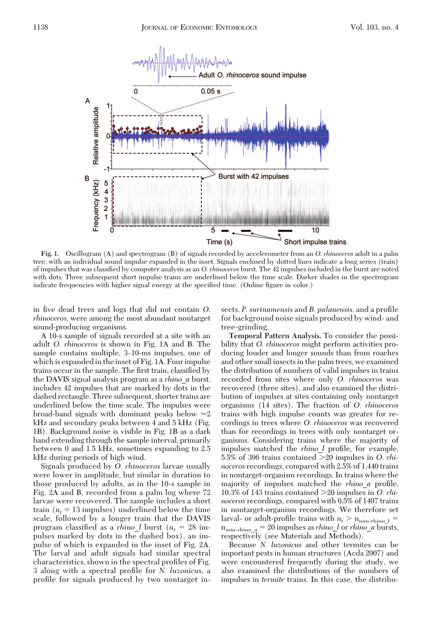

**Fig. 1.** Oscillogram (A) and spectrogram (B) of signals recorded by accelerometer from an *O*. *rhinoceros* adult in a palm tree, with an individual sound impulse expanded in the inset. Signals enclosed by dotted lines indicate a long series (train) of impulses that was classified by computer analysis as an *O. rhinoceros* burst. The 42 impulses included in the burst are noted with dots. Three subsequent short impulse trains are underlined below the time scale. Darker shades in the spectrogram indicate frequencies with higher signal energy at the specified time. (Online figure in color.)

in five dead trees and logs that did not contain O. *rhinoceros,* were among the most abundant nontarget sound-producing organisms.

A 10-s sample of signals recorded at a site with an adult *O. rhinoceros* is shown in Fig. 1A and B. The sample contains multiple, 3–10-ms impulses, one of which is expanded in the inset of Fig. 1A. Four impulse trains occur in the sample. The first train, classified by the DAVIS signal analysis program as a *rhino*\_*a* burst, includes 42 impulses that are marked by dots in the dashed rectangle. Three subsequent, shorter trains are underlined below the time scale. The impulses were broad-band signals with dominant peaks below  $\approx 2$ kHz and secondary peaks between 4 and 5 kHz (Fig. 1B). Background noise is visible in Fig. 1B as a dark band extending through the sample interval, primarily between 0 and 1.5 kHz, sometimes expanding to 2.5 kHz during periods of high wind.

Signals produced by *O. rhinoceros* larvae usually were lower in amplitude, but similar in duration to those produced by adults, as in the 10-s sample in Fig. 2A and B, recorded from a palm log where 72 larvae were recovered. The sample includes a short train  $(n_t = 13 \text{ impulses})$  underlined below the time scale, followed by a longer train that the DAVIS program classified as a *rhino* l burst ( $n_t = 28$  impulses marked by dots in the dashed box), an impulse of which is expanded in the inset of Fig. 2A. The larval and adult signals had similar spectral characteristics, shown in the spectral profiles of Fig. 3 along with a spectral profile for *N. luzonicus*, a profile for signals produced by two nontarget insects, *P. surinamensis* and *B. palauensis*, and a profile for background noise signals produced by wind- and tree-grinding.

**Temporal Pattern Analysis.** To consider the possibility that *O. rhinoceros* might perform activities producing louder and longer sounds than from roaches and other small insects in the palm trees, we examined the distribution of numbers of valid impulses in trains recorded from sites where only *O. rhinoceros* was recovered (three sites), and also examined the distribution of impulses at sites containing only nontarget organisms (14 sites). The fraction of *O. rhinoceros* trains with high impulse counts was greater for recordings in trees where *O. rhinoceros* was recovered than for recordings in trees with only nontarget organisms. Considering trains where the majority of impulses matched the *rhino* l profile, for example, 5.5% of 396 trains contained 20 impulses in *O. rhinoceros* recordings, compared with 2.5% of 1,440 trains in nontarget-organism recordings. In trains where the majority of impulses matched the *rhino\_a* profile, 10.3% of 143 trains contained 20 impulses in *O. rhinoceros* recordings, compared with 0.5% of 1407 trains in nontarget-organism recordings. We therefore set larval- or adult-profile trains with  $n_t > n_{\text{min-rhino~1}} =$  $n_{\text{min-rhino}_a} = 20$  impulses as *rhino*<sub>*l*</sub> or *rhino<sub>\_</sub>a* bursts, respectively (see Materials and Methods).

Because *N. luzonicus* and other termites can be important pests in human structures (Acda 2007) and were encountered frequently during the study, we also examined the distributions of the numbers of impulses in *termite* trains. In this case, the distribu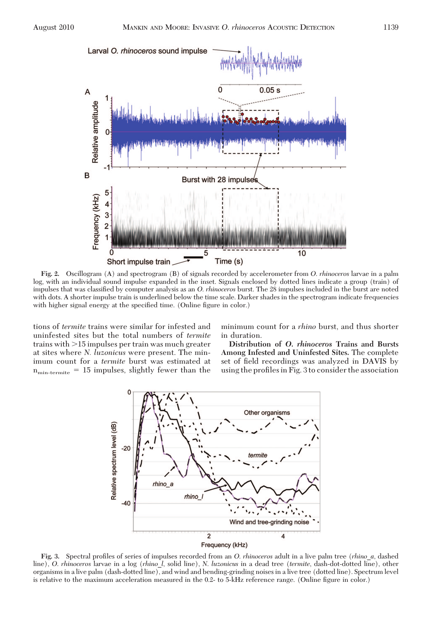A

Larval O. rhinoceros sound impulse





**Fig. 2.** Oscillogram (A) and spectrogram (B) of signals recorded by accelerometer from *O*. *rhinoceros* larvae in a palm log, with an individual sound impulse expanded in the inset. Signals enclosed by dotted lines indicate a group (train) of impulses that was classified by computer analysis as an *O. rhinoceros* burst. The 28 impulses included in the burst are noted with dots. A shorter impulse train is underlined below the time scale. Darker shades in the spectrogram indicate frequencies with higher signal energy at the specified time. (Online figure in color.)

tions of *termite* trains were similar for infested and uninfested sites but the total numbers of *termite* trains with  $>15$  impulses per train was much greater at sites where *N. luzonicus* were present. The minimum count for a *termite* burst was estimated at  $n_{\text{min-termite}} = 15$  impulses, slightly fewer than the minimum count for a *rhino* burst, and thus shorter in duration.

**Distribution of** *O***.** *rhinoceros* **Trains and Bursts Among Infested and Uninfested Sites.** The complete set of field recordings was analyzed in DAVIS by using the profiles in Fig. 3 to consider the association



Fig. 3. Spectral profiles of series of impulses recorded from an *O. rhinoceros* adult in a live palm tree (*rhino a*, dashed line), *O*. *rhinoceros* larvae in a log (*rhino*\_*l*, solid line), *N*. *luzonicus* in a dead tree (*termite*, dash-dot-dotted line), other organisms in a live palm (dash-dotted line), and wind and bending-grinding noises in a live tree (dotted line). Spectrum level is relative to the maximum acceleration measured in the 0.2- to 5-kHz reference range. (Online figure in color.)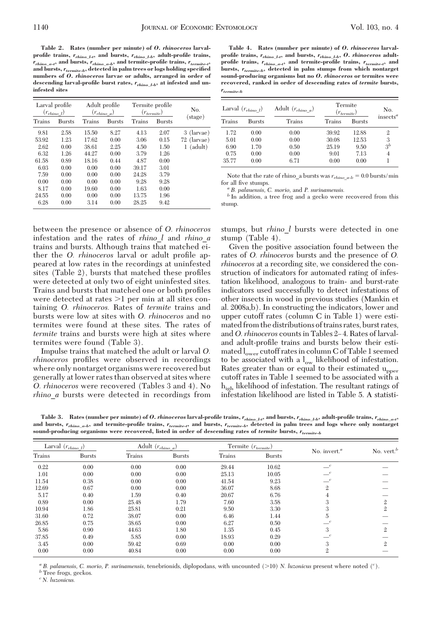**Table 2. Rates (number per minute) of** *O. rhinoceros* **larvalprofile trains,** *rrhino\_l-t,* **and bursts,** *rrhino\_l-b,* **adult-profile trains,** *rrhino\_a-t,* **and bursts,** *rrhino\_a-b,* **and termite-profile trains,** *rtermite-t,* **and bursts,***rtermite-b,* **detected in palm trees or logs holding specified numbers of** *O. rhinoceros* **larvae or adults, arranged in order of descending larval-profile burst rates,** *rrhino\_l-b,* **at infested and uninfested sites**

| Larval profile<br>$(r_{rhino l})$                                                       |                                                                                      | Adult profile<br>$(r_{rhino a})$                                                           |                                                                                      | Termite profile<br>$(r_{termite})$                                                       |                                                                                      | No.                                        |
|-----------------------------------------------------------------------------------------|--------------------------------------------------------------------------------------|--------------------------------------------------------------------------------------------|--------------------------------------------------------------------------------------|------------------------------------------------------------------------------------------|--------------------------------------------------------------------------------------|--------------------------------------------|
| Trains                                                                                  | <b>Bursts</b>                                                                        | Trains                                                                                     | <b>Bursts</b>                                                                        | Trains                                                                                   | <b>Bursts</b>                                                                        | $(\text{stage})$                           |
| 9.81<br>53.92<br>2.62<br>6.32<br>61.58<br>6.03<br>7.59<br>0.00<br>8.17<br>24.55<br>6.28 | 2.58<br>1.23<br>0.00<br>1.26<br>0.89<br>0.00<br>0.00<br>0.00<br>0.00<br>0.00<br>0.00 | 15.50<br>17.62<br>38.61<br>44.27<br>18.16<br>0.00<br>0.00<br>0.00<br>19.60<br>0.00<br>3.14 | 8.27<br>0.00<br>2.25<br>0.00<br>0.44<br>0.00<br>0.00<br>0.00<br>0.00<br>0.00<br>0.00 | 4.13<br>3.06<br>4.50<br>3.79<br>4.87<br>39.17<br>24.28<br>9.28<br>1.63<br>13.75<br>28.25 | 2.07<br>0.15<br>1.50<br>1.26<br>0.00<br>3.01<br>3.79<br>9.28<br>0.00<br>1.96<br>9.42 | 3 (larvae)<br>$72$ (larvae)<br>$1$ (adult) |

between the presence or absence of *O. rhinoceros* infestation and the rates of *rhino*\_*l* and *rhino*\_*a* trains and bursts. Although trains that matched either the *O. rhinoceros* larval or adult profile appeared at low rates in the recordings at uninfested sites (Table 2), bursts that matched these profiles were detected at only two of eight uninfested sites. Trains and bursts that matched one or both profiles were detected at rates  $>1$  per min at all sites containing *O. rhinoceros.* Rates of *termite* trains and bursts were low at sites with *O. rhinoceros* and no termites were found at these sites. The rates of *termite* trains and bursts were high at sites where termites were found (Table 3).

Impulse trains that matched the adult or larval *O. rhinoceros* profiles were observed in recordings where only nontarget organisms were recovered but generally at lower rates than observed at sites where *O. rhinoceros* were recovered (Tables 3 and 4). No *rhino*\_*a* bursts were detected in recordings from

**Table 4. Rates (number per minute) of** *O. rhinoceros* **larvalprofile trains,** *rrhino\_l-t,* **and bursts,** *rrhino\_l-b, O. rhinoceros* **adultprofile trains,** *rrhino\_a-t,* **and termite-profile trains,** *rtermite-t,* **and bursts,** *rtermite-b,* **detected in palm stumps from which nontarget sound-producing organisms but no** *O. rhinoceros* **or termites were recovered, ranked in order of descending rates of** *termite* **bursts,** *rtermite-b*

| Larval $(r_{\text{r}hino l})$ |               | Adult $\left(r_{r hino\_a}\right)$ | Termite<br>$(r_{ternite})$ |        | No.          |
|-------------------------------|---------------|------------------------------------|----------------------------|--------|--------------|
| <b>Trains</b>                 | <b>Bursts</b> | Trains                             | Trains                     | Bursts | insects $^a$ |
| 1.72                          | 0.00          | 0.00                               | 39.92                      | 12.88  | 2            |
| 5.01                          | 0.00          | 0.00                               | 30.08                      | 12.53  | 3            |
| 6.90                          | 1.70          | 0.50                               | 25.19                      | 9.50   | $3^b$        |
| 0.75                          | 0.00          | 0.00                               | 9.01                       | 7.13   | 4            |
| 35.77                         | 0.00          | 6.71                               | 0.00                       | 0.00   |              |

Note that the rate of rhino\_a bursts was  $r_{r{hino\_a-b}} = 0.0$  bursts/min for all five stumps.

for all Þve stumps. *<sup>a</sup> B. palauensis, C. morio,* and *P. surinamensis. <sup>b</sup>* In addition, a tree frog and a gecko were recovered from this stump.

stumps, but *rhino*\_*l* bursts were detected in one stump (Table 4).

Given the positive association found between the rates of *O. rhinoceros* bursts and the presence of *O. rhinoceros* at a recording site, we considered the construction of indicators for automated rating of infestation likelihood, analogous to train- and burst-rate indicators used successfully to detect infestations of other insects in wood in previous studies (Mankin et al. 2008a,b). In constructing the indicators, lower and upper cutoff rates (column C in Table 1) were estimated from the distributions of trains rates, burst rates, and *O. rhinoceros* counts in Tables 2-4. Rates of larvaland adult-profile trains and bursts below their estimated  $l_{over}$  cutoff rates in column C of Table 1 seemed to be associated with a  $l_{ow}$  likelihood of infestation. Rates greater than or equal to their estimated  $u_{\text{oper}}$ cutoff rates in Table 1 seemed to be associated with a high likelihood of infestation. The resultant ratings of infestation likelihood are listed in Table 5. A statisti-

**Table 3. Rates (number per minute) of** *O. rhinoceros* **larval-profile trains,** *rrhino\_l-t,* **and bursts,** *rrhino\_l-b,* **adult-profile trains,** *rrhino\_a-t,* **and bursts,** *rrhino\_a-b,* **and termite-profile trains,** *rtermite-t,* **and bursts,** *rtermite-b,* **detected in palm trees and logs where only nontarget sound-producing organisms were recovered, listed in order of descending rates of** *termite* **bursts,** *rtermite-b*

| Larval $(r_{\textit{r$ |               |        | Adult $(r_{r hino\ a})$ |        | Termite $\left(r_{ternite}\right)$ | No. invert. $a$ | No. vert. $b$  |
|------------------------|---------------|--------|-------------------------|--------|------------------------------------|-----------------|----------------|
| <b>Trains</b>          | <b>Bursts</b> | Trains | <b>Bursts</b>           | Trains | <b>Bursts</b>                      |                 |                |
| 0.22                   | 0.00          | 0.00   | 0.00                    | 29.44  | 10.62                              | $-c$            |                |
| 1.01                   | 0.00          | 0.00   | 0.00                    | 25.13  | 10.05                              | $-c$            |                |
| 11.54                  | 0.38          | 0.00   | 0.00                    | 41.54  | 9.23                               | $\epsilon$      |                |
| 12.69                  | 0.67          | 0.00   | 0.00                    | 36.07  | 8.68                               | $\mathfrak{2}$  |                |
| 5.17                   | 0.40          | 1.59   | 0.40                    | 20.67  | 6.76                               | 4               |                |
| 0.89                   | 0.00          | 25.48  | 1.79                    | 7.60   | 3.58                               | 3               | $\mathfrak{2}$ |
| 10.94                  | 1.86          | 25.81  | 0.21                    | 9.50   | 3.30                               | 3               | $\mathbf{2}$   |
| 31.60                  | 0.72          | 38.07  | 0.00                    | 6.46   | 1.44                               | 5               |                |
| 26.85                  | 0.75          | 38.65  | 0.00                    | 6.27   | 0.50                               | $\mathcal{C}$   |                |
| 5.86                   | 0.90          | 44.63  | 1.80                    | 1.35   | 0.45                               | 3               | $\overline{2}$ |
| 37.85                  | 0.49          | 5.85   | 0.00                    | 18.93  | 0.29                               | $-c$            |                |
| 3.45                   | 0.00          | 59.42  | 0.69                    | 0.00   | 0.00                               | 3               | 2              |
| 0.00                   | 0.00          | 40.84  | 0.00                    | 0.00   | 0.00                               | $\mathfrak{2}$  |                |

*a B. palauensis, C. morio, P. surinamensis, tenebrionids, diplopodans, with uncounted (>10) <i>N. luzonicus* present where noted (<sup>*c*</sup>). *b* Tree frogs, geckos.

*<sup>c</sup> N. luzonicus.*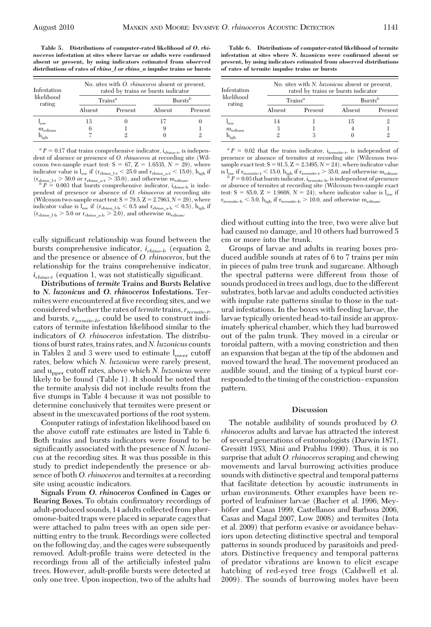**Table 5. Distributions of computer-rated likelihood of** *O. rhinoceros* **infestation at sites where larvae or adults were confirmed absent or present, by using indicators estimated from observed distributions of rates of** *rhino\_l* **or** *rhino\_a* **impulse trains or bursts**

| Infestation<br>likelihood<br>rating | No. sites with <i>O. rhinoceros</i> absent or present,<br>rated by trains or bursts indicator |                  |            |         |  |
|-------------------------------------|-----------------------------------------------------------------------------------------------|------------------|------------|---------|--|
|                                     |                                                                                               | $\text{Trans}^a$ | $Bursts^b$ |         |  |
|                                     | Absent                                                                                        | Present          | Absent     | Present |  |
| $1_{\text{OW}}$                     | 13                                                                                            |                  | 17         |         |  |
| $m_{\text{edium}}$                  | 6                                                                                             |                  | 9          |         |  |
| $\rm h_{\rm igh}$                   |                                                                                               |                  |            |         |  |

 $a^a P = 0.17$  that trains comprehensive indicator, i<sub>rhino-t</sub>, is independent of absence or presence of *O. rhinoceros* at recording site (Wilcoxon two-sample exact test:  $S = 67$ ,  $Z = 1.6535$ ,  $N = 29$ ), where indicator value is  $l_{ow}$  if  $(r_{r\text{hino\_a-t}} < 25.0$  and  $r_{r\text{hino\_a-t}} < 15.0$ ,  $h_{igh}$  if  $(r_{r\text{hino\_b-t}} > 50.0$  or  $r_{r\text{hino\_a+t}} > 35.0$ , and otherwise m<sub>edium</sub>.<br>*b P* = 0.003 that bursts comprehensive indicator, i<sub>rhino-b</sub> i

pendent of presence or absence of *O. rhinoceros* at recording site (Wilcoxon two-sample exact test:  $S = 79.5$ ,  $Z = 2.7963$ ,  $N = 29$ ), where indicator value is  $l_{ow}$  if  $(r_{r\text{hino\_1-b}} < 0.5$  and  $r_{r\text{hino\_a-b}} < 0.5$ ),  $h_{igh}$  if  $(r_{r\text{hino\_1-b}} > 5.0$  or  $r_{r\text{hino\_a-b}} > 2.0$ ), and otherwise m<sub>edium</sub>.

cally significant relationship was found between the bursts comprehensive indicator, *irhino-b* (equation 2, and the presence or absence of *O. rhinoceros,* but the relationship for the trains comprehensive indicator,  $i_{rhino-t}$  (equation 1, was not statistically significant.

**Distributions of** *termite* **Trains and Bursts Relative to** *N***.** *luzonicus* **and** *O***.** *rhinoceros* **Infestations.** Termites were encountered at five recording sites, and we considered whether the rates of*termite* trains, *rtermite-t,* and bursts, *rtermite-b,* could be used to construct indicators of termite infestation likelihood similar to the indicators of *O. rhinoceros* infestation. The distributions of burst rates, trains rates, and *N. luzonicus* counts in Tables 2 and 3 were used to estimate  $l_{over}$  cutoff rates, below which *N. luzonicus* were rarely present, and upper cutoff rates, above which *N. luzonicus* were likely to be found (Table 1). It should be noted that the termite analysis did not include results from the five stumps in Table 4 because it was not possible to determine conclusively that termites were present or absent in the unexcavated portions of the root system.

Computer ratings of infestation likelihood based on the above cutoff rate estimates are listed in Table 6. Both trains and bursts indicators were found to be significantly associated with the presence of *N. luzoni cus* at the recording sites. It was thus possible in this study to predict independently the presence or absence of both *O. rhinoceros* and termites at a recording site using acoustic indicators.

**Signals From** *O***.** *rhinoceros* **Confined in Cages or Rearing Boxes.** To obtain confirmatory recordings of adult-produced sounds, 14 adults collected from pheromone-baited traps were placed in separate cages that were attached to palm trees with an open side permitting entry to the trunk. Recordings were collected on the following day, and the cages were subsequently removed. Adult-profile trains were detected in the recordings from all of the artificially infested palm trees. However, adult-profile bursts were detected at only one tree. Upon inspection, two of the adults had

**Table 6. Distributions of computer-rated likelihood of termite infestation at sites where** *N. luzonicus* **were confirmed absent or present, by using indicators estimated from observed distributions of rates of termite impulse trains or bursts**

| Infestation<br>likelihood<br>rating | No. sites with <i>N. luzonicus</i> absent or present,<br>rated by trains or bursts indicator |                  |            |         |  |  |
|-------------------------------------|----------------------------------------------------------------------------------------------|------------------|------------|---------|--|--|
|                                     |                                                                                              | $\text{Trans}^a$ | $Bursts^b$ |         |  |  |
|                                     | Absent                                                                                       | Present          | Absent     | Present |  |  |
| 'ow                                 | 14                                                                                           |                  | 15         |         |  |  |
| $m_{\text{edium}}$                  | 3                                                                                            |                  |            |         |  |  |
| $h_{\text{igh}}$                    |                                                                                              |                  |            | 9       |  |  |

 $a^a P = 0.02$  that the trains indicator, i<sub>termite-t</sub>, is independent of presence or absence of termites at recording site (Wilcoxon twosample exact test:  $S = 91.5$ ,  $Z = 2.3495$ ,  $N = 24$ ), where indicator value is  $l_{ow}$  if  $r_{\text{termite-t}} < 15.0$ ,  $h_{\text{igh}}$  if  $r_{\text{termite-t}} > 35.0$ , and otherwise  $m_{\text{edium}}$ ,<br>  $b'P = 0.03$  that bursts indicator, i<sub>termite-b</sub>, is independent of presence<br>
or absence of termites at recording site (Wilcoxon tw test:  $S = 85.0$ ,  $Z = 1.9608$ ,  $N = 24$ ), where indicator value is  $l_{ow}$  if  $r_{\text{termite-b}} < 5.0, h_{\text{igh}}$  if  $r_{\text{termite-b}} > 10.0$ , and otherwise  $m_{\text{edium}}$ .

died without cutting into the tree, two were alive but had caused no damage, and 10 others had burrowed 5 cm or more into the trunk.

Groups of larvae and adults in rearing boxes produced audible sounds at rates of 6 to 7 trains per min in pieces of palm tree trunk and sugarcane. Although the spectral patterns were different from those of sounds produced in trees and logs, due to the different substrates, both larvae and adults conducted activities with impulse rate patterns similar to those in the natural infestations. In the boxes with feeding larvae, the larvae typically oriented head-to-tail inside an approximately spherical chamber, which they had burrowed out of the palm trunk. They moved in a circular or toroidal pattern, with a moving constriction and then an expansion that began at the tip of the abdomen and moved toward the head. The movement produced an audible sound, and the timing of a typical burst corresponded to the timing of the constriction-expansion pattern.

# **Discussion**

The notable audibility of sounds produced by *O. rhinoceros* adults and larvae has attracted the interest of several generations of entomologists (Darwin 1871, Gressitt 1953, Mini and Prabhu 1990). Thus, it is no surprise that adult *O. rhinoceros* scraping and chewing movements and larval burrowing activities produce sounds with distinctive spectral and temporal patterns that facilitate detection by acoustic instruments in urban environments. Other examples have been reported of leafminer larvae (Bacher et al. 1996, Meyhöfer and Casas 1999, Castellanos and Barbosa 2006, Casas and Magal 2007, Low 2008) and termites (Inta et al. 2009) that perform evasive or avoidance behaviors upon detecting distinctive spectral and temporal patterns in sounds produced by parasitoids and predators. Distinctive frequency and temporal patterns of predator vibrations are known to elicit escape hatching of red-eyed tree frogs (Caldwell et al. 2009). The sounds of burrowing moles have been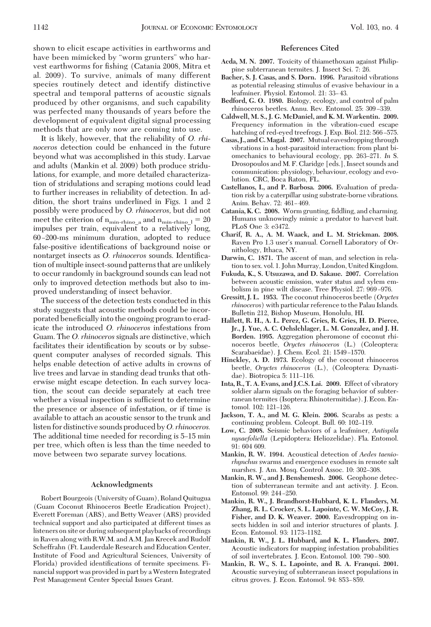shown to elicit escape activities in earthworms and have been mimicked by "worm grunters" who harvest earthworms for fishing (Catania 2008, Mitra et al. 2009). To survive, animals of many different species routinely detect and identify distinctive spectral and temporal patterns of acoustic signals produced by other organisms, and such capability was perfected many thousands of years before the development of equivalent digital signal processing methods that are only now are coming into use.

It is likely, however, that the reliability of *O. rhinoceros* detection could be enhanced in the future beyond what was accomplished in this study. Larvae and adults (Mankin et al. 2009) both produce stridulations, for example, and more detailed characterization of stridulations and scraping motions could lead to further increases in reliability of detection. In addition, the short trains underlined in Figs. 1 and 2 possibly were produced by *O. rhinoceros,* but did not meet the criterion of  $n_{\text{min-rhino}}$  a and  $n_{\text{min-rhino}}$   $_1 = 20$ impulses per train, equivalent to a relatively long, 60 Ð200-ms minimum duration, adopted to reduce false-positive identifications of background noise or nontarget insects as *O. rhinoceros* sounds. Identification of multiple insect-sound patterns that are unlikely to occur randomly in background sounds can lead not only to improved detection methods but also to improved understanding of insect behavior.

The success of the detection tests conducted in this study suggests that acoustic methods could be incorporated beneficially into the ongoing program to eradicate the introduced *O. rhinoceros* infestations from Guam. The *O. rhinoceros*signals are distinctive, which facilitates their identification by scouts or by subsequent computer analyses of recorded signals. This helps enable detection of active adults in crowns of live trees and larvae in standing dead trunks that otherwise might escape detection. In each survey location, the scout can decide separately at each tree whether a visual inspection is sufficient to determine the presence or absence of infestation, or if time is available to attach an acoustic sensor to the trunk and listen for distinctive sounds produced by*O. rhinoceros.* The additional time needed for recording is 5–15 min per tree, which often is less than the time needed to move between two separate survey locations.

### **Acknowledgments**

Robert Bourgeois (University of Guam), Roland Quitugua (Guam Coconut Rhinoceros Beetle Eradication Project), Everett Foreman (ARS), and Betty Weaver (ARS) provided technical support and also participated at different times as listeners on site or during subsequent playbacks of recordings in Raven along with R.W.M. and A.M. Jan Krecek and Rudolf Scheffrahn (Ft. Lauderdale Research and Education Center, Institute of Food and Agricultural Sciences, University of Florida) provided identifications of termite specimens. Financial support was provided in part by aWestern Integrated Pest Management Center Special Issues Grant.

# **References Cited**

- **Acda, M. N. 2007.** Toxicity of thiamethoxam against Philippine subterranean termites. J. Insect Sci. 7: 26.
- **Bacher, S. J. Casas, and S. Dorn. 1996.** Parasitoid vibrations as potential releasing stimulus of evasive behaviour in a leafminer. Physiol. Entomol. 21: 33–43.
- **Bedford, G. O. 1980.** Biology, ecology, and control of palm rhinoceros beetles. Annu. Rev. Entomol. 25: 309-339.
- **Caldwell, M. S., J. G. McDaniel, and K. M. Warkentin. 2009.** Frequency information in the vibration-cued escape hatching of red-eyed treefrogs. J. Exp. Biol. 212:  $566-575$ .
- **Casas, J., and C.Magal. 2007.** Mutual eavesdropping through vibrations in a host-parasitoid interaction: from plant biomechanics to behavioural ecology, pp. 263-271. In S. Drosopoulos and M. F. Claridge [eds.], Insect sounds and communication: physiology, behaviour, ecology and evolution. CRC, Boca Raton, FL.
- **Castellanos, I., and P. Barbosa. 2006.** Evaluation of predation risk by a caterpillar using substrate-borne vibrations. Anim. Behav. 72: 461-469.
- Catania, K. C. 2008. Worm grunting, fiddling, and charming. Humans unknowingly mimic a predator to harvest bait. PLoS One 3: e3472.
- **Charif, R. A., A. M. Waack, and L. M. Strickman. 2008.** Raven Pro 1.3 user's manual. Cornell Laboratory of Ornithology, Ithaca, NY.
- **Darwin, C. 1871.** The ascent of man, and selection in relation to sex. vol. 1. John Murray, London, United Kingdom.
- **Fukuda, K., S. Utsuzawa, and D. Sakaue. 2007.** Correlation between acoustic emission, water status and xylem embolism in pine wilt disease. Tree Physiol. 27: 969–976.
- **Gressitt, J. L. 1953.** The coconut rhinoceros beetle (*Oryctes rhinoceros*) with particular reference to the Palau Islands. Bulletin 212, Bishop Museum, Honolulu, HI.
- **Hallett, R. H., A. L. Perez, G. Gries, R. Gries, H. D. Pierce, Jr., J. Yue, A. C. Oehslchlager, L. M. Gonzalez, and J. H. Borden. 1995.** Aggregation pheromone of coconut rhinoceros beetle, *Oryctes rhinoceros* (L.) (Coleoptera: Scarabaeidae). J. Chem. Ecol. 21: 1549-1570.
- **Hinckley, A. D. 1973.** Ecology of the coconut rhinoceros beetle, *Oryctes rhinoceros* (L.), (Coleoptera: Dynastidae). Biotropica 5:  $111-116$ .
- **Inta, R., T. A. Evans, and J.C.S. Lai. 2009.** Effect of vibratory soldier alarm signals on the foraging behavior of subterranean termites (Isoptera: Rhinotermitidae). J. Econ. Entomol. 102: 121-126.
- **Jackson, T. A., and M. G. Klein. 2006.** Scarabs as pests: a continuing problem. Coleopt. Bull. 60: 102-119.
- **Low, C. 2008.** Seismic behaviors of a leafminer, *Antispila nysaefoliella* (Lepidoptera: Heliozelidae). Fla. Entomol. 91: 604 609.
- **Mankin, R. W. 1994.** Acoustical detection of *Aedes taeniorhynchus* swarms and emergence exoduses in remote salt marshes. J. Am. Mosq. Control Assoc. 10: 302-308.
- **Mankin, R. W., and J. Benshemesh. 2006.** Geophone detection of subterranean termite and ant activity. J. Econ. Entomol. 99: 244-250.
- **Mankin, R. W., J. Brandhorst-Hubbard, K. L. Flanders, M. Zhang, R. L. Crocker, S. L. Lapointe, C. W. McCoy, J. R. Fisher, and D. K. Weaver. 2000.** Eavesdropping on insects hidden in soil and interior structures of plants. J. Econ. Entomol. 93: 1173-1182.
- **Mankin, R. W., J. L. Hubbard, and K. L. Flanders. 2007.** Acoustic indicators for mapping infestation probabilities of soil invertebrates. J. Econ. Entomol. 100: 790-800.
- **Mankin, R. W., S. L. Lapointe, and R. A. Franqui. 2001.** Acoustic surveying of subterranean insect populations in citrus groves. J. Econ. Entomol. 94: 853–859.